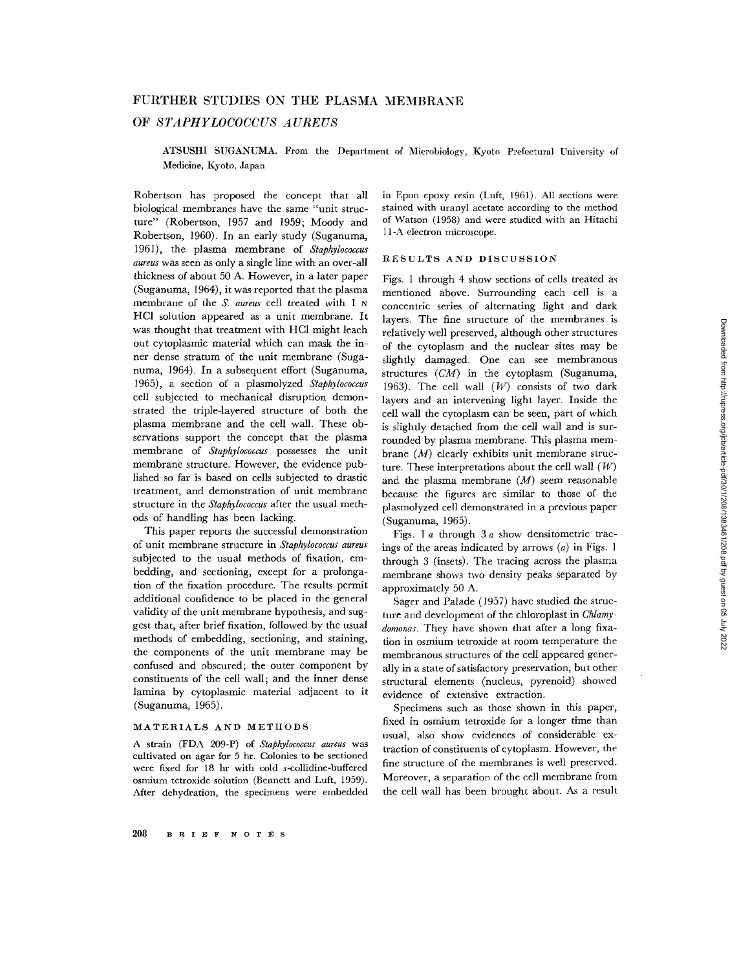# FURTHER STUDIES ON THE PLASMA MEMBRANE

## OF *STAPHYLOCOCCUS AUREUS*

ATSUSHI SUGANUMA. From the Department of Microbiology, Kyoto Prefectural University of Medicine, Kyoto, Japan

Robertson has proposed the concept that all biological membranes have the same "unit structure" (Robertson, 1957 and 1959; Moody and Robertson, 1960). In an early study (Suganuma, 1961), the plasma membrane of *Staphylococcus aureus* was seen as only a single line with an over-all thickness of about 50 A. However, in a later paper (Suganuma, 1964), it was reported that the plasma membrane of the *S. aureus* cell treated with 1 N HC1 solution appeared as a unit membrane. It was thought that treatment with HC1 might leach out cytoplasmic material which can mask the inner dense stratum of the unit membrane (Suganuma, 1964). In a subsequent effort (Suganuma, 1965), a section of a plasmolyzed *Staphylococcus*  cell subjected to mechanical disruption demonstrated the triple-layered structure of both the plasma membrane and the cell wall. These observations support the concept that the plasma membrane of *Staphylococcus* possesses the unit membrane structure. However, the evidence published so far is based on cells subjected to drastic treatment, and demonstration of unit membrane structure in the *Staphylococcus* after the usual methods of handling has been lacking.

This paper reports the successful demonstration of unit membrane structure in *Staphylococcus aureus*  subjected to the usual methods of fixation, embedding, and sectioning, except for a prolongation of the fixation procedure. The results permit additional confidence to be placed in the general validity of the unit membrane hypothesis, and suggest that, after brief fixation, followed by the usual methods of embedding, sectioning, and staining, the components of the unit membrane may be confused and obscured; the outer component by constituents of the cell wail; and the inner dense lamina by cytoplasmic material adjacent to it (Suganuma, 1965).

## MATGRIALS AND METIIODS

A strain (FDA 209-P) of *Staphylococcus aureus* was cultivated on agar for 5 hr. Colonies to be sectioned were fixed for 18 hr with cold s-collidine-buffered osmium tetroxide solution (Bennett and Luft, 1959). After dehydration, the specimens were embedded in Epon epoxy resin (Luft, 1961). All sections were stained with uranyl acetate according to the method of Watson (1958) and were studied with an Hitachi 11-A electron microscope.

#### RESULTS AND DISCUSSION

Figs. 1 through 4 show sections of cells treated as mentioned above. Surrounding each cell is a concentric series of alternating light and dark layers. The fine structure of the membranes is relatively well preserved, although other structures of the cytoplasm and the nuclear sites may be slightly damaged. One can see membranous structures *(CM)* in the cytoplasm (Suganuma, 1963). The cell wall  $(W)$  consists of two dark layers and an intervening light layer. Inside the cell wall the cytoplasm can be seen, part of which is slightly detached from the cell wall and is surrounded by plasma membrane. This plasma membrane  $(M)$  clearly exhibits unit membrane structure. These interpretations about the cell wall  $(W)$ and the plasma membrane  $(M)$  seem reasonable because the figures are similar to those of the plasmolyzed cell demonstrated in a previous paper (Suganuma, 1965).

Figs. 1  $a$  through 3  $a$  show densitometric tracings of the areas indicated by arrows (a) in Figs. l through 3 (insets). The tracing across the plasma membrane shows two density peaks separated by approximately 50 A.

Sager and Palade (1957) have studied the structure and development of the chloroplast in *Chlamy.*  domonas. They have shown that after a long fixation in osmium tetroxide at room temperature the membranous structures of the cell appeared generally in a state of satisfactory preservation, but other structural elements (nucleus, pyrenoid) showed evidence of extensive extraction.

Specimens such as those shown in this paper, fixed in osmium tetroxide for a longer time than usual, also show evidences of considerable extraction of constituents of cytoplasm. However, the fine structure of the membranes is well preserved. Moreover, a separation of the cell membrane from the cell wall has been brought about. As a result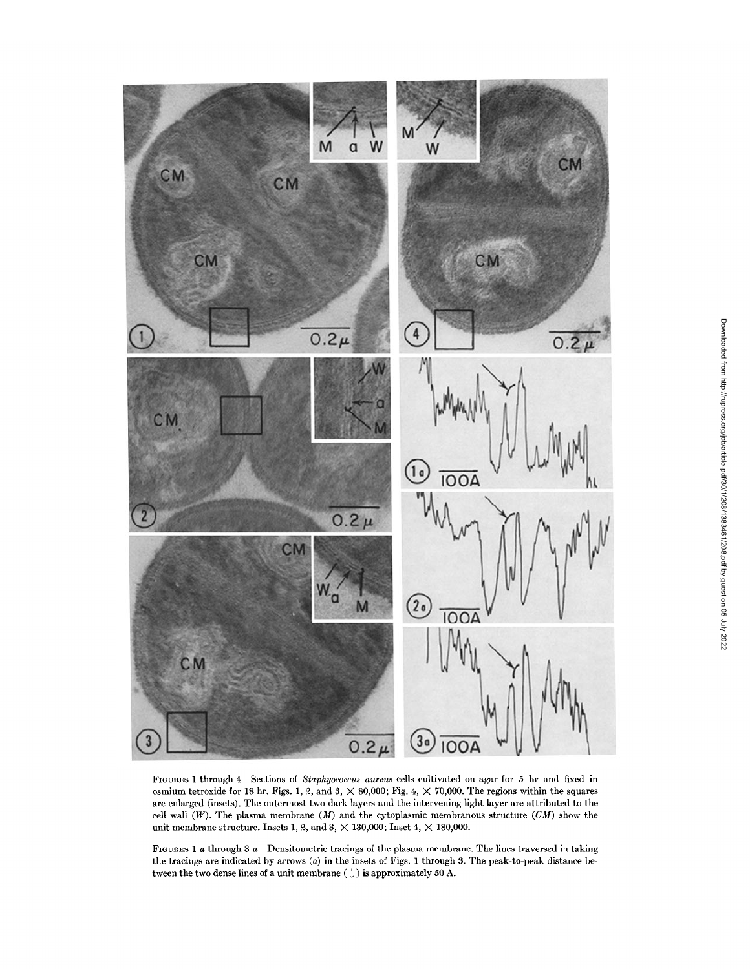

FIGURES 1 through 4 Sections of *Staphyococcus aureus* cells cultivated on agar for 5 hr and fixed in osmium tetroxide for 18 hr. Figs. 1, 2, and 3,  $\times$  80,000; Fig. 4,  $\times$  70,000. The regions within the squares are enlarged (insets). The outermost two dark layers and the intervening light layer are attributed to the cell wall  $(W)$ . The plasma membrane  $(M)$  and the cytoplasmic membranous structure  $(CM)$  show the unit membrane structure. Insets 1, 2, and 3,  $\times$  130,000; Inset 4,  $\times$  180,000.

FIGURES 1 a through 3 a Densitometric tracings of the plasma membrane. The lines traversed in taking the tracings are indicated by arrows (a) in the insets of Figs. 1 through 3. The peak-to-peak distance between the two dense lines of a unit membrane (  $\downarrow$  ) is approximately 50 A.